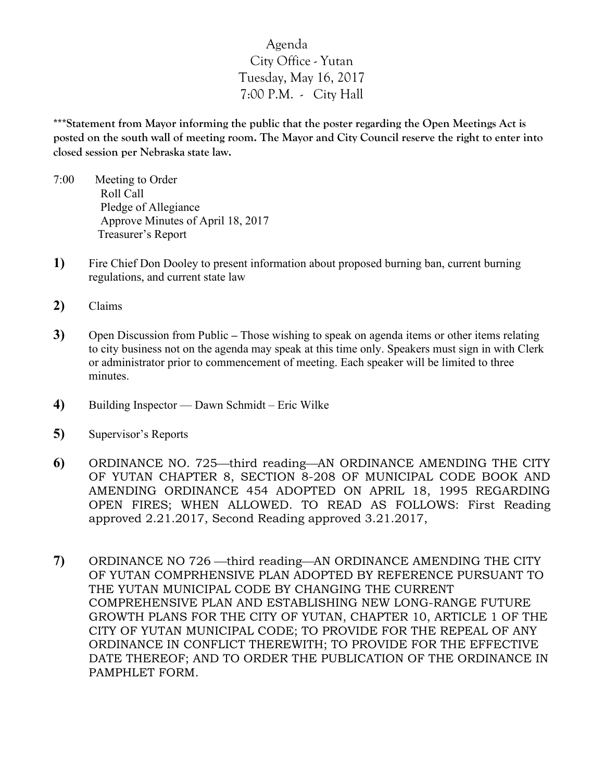## Agenda City Office - Yutan Tuesday, May 16, 2017 7:00 P.M. - City Hall

**\*\*\*Statement from Mayor informing the public that the poster regarding the Open Meetings Act is posted on the south wall of meeting room. The Mayor and City Council reserve the right to enter into closed session per Nebraska state law.**

- 7:00 Meeting to Order Roll Call Pledge of Allegiance Approve Minutes of April 18, 2017 Treasurer's Report
- **1)** Fire Chief Don Dooley to present information about proposed burning ban, current burning regulations, and current state law
- **2)** Claims
- **3)** Open Discussion from Public **–** Those wishing to speak on agenda items or other items relating to city business not on the agenda may speak at this time only. Speakers must sign in with Clerk or administrator prior to commencement of meeting. Each speaker will be limited to three minutes.
- **4)** Building Inspector Dawn Schmidt Eric Wilke
- **5)** Supervisor's Reports
- **6)** ORDINANCE NO. 725—third reading—AN ORDINANCE AMENDING THE CITY OF YUTAN CHAPTER 8, SECTION 8-208 OF MUNICIPAL CODE BOOK AND AMENDING ORDINANCE 454 ADOPTED ON APRIL 18, 1995 REGARDING OPEN FIRES; WHEN ALLOWED. TO READ AS FOLLOWS: First Reading approved 2.21.2017, Second Reading approved 3.21.2017,
- 7) ORDINANCE NO 726 third reading—AN ORDINANCE AMENDING THE CITY OF YUTAN COMPRHENSIVE PLAN ADOPTED BY REFERENCE PURSUANT TO THE YUTAN MUNICIPAL CODE BY CHANGING THE CURRENT COMPREHENSIVE PLAN AND ESTABLISHING NEW LONG-RANGE FUTURE GROWTH PLANS FOR THE CITY OF YUTAN, CHAPTER 10, ARTICLE 1 OF THE CITY OF YUTAN MUNICIPAL CODE; TO PROVIDE FOR THE REPEAL OF ANY ORDINANCE IN CONFLICT THEREWITH; TO PROVIDE FOR THE EFFECTIVE DATE THEREOF; AND TO ORDER THE PUBLICATION OF THE ORDINANCE IN PAMPHLET FORM.